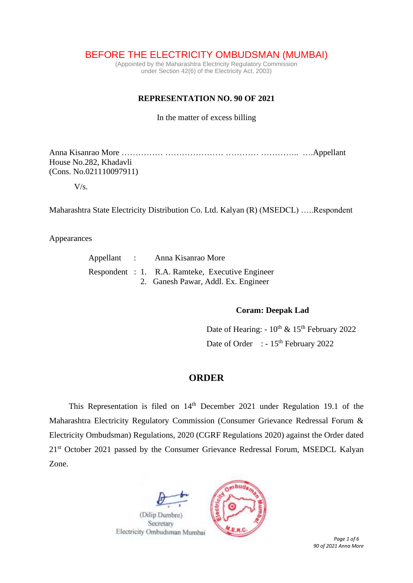BEFORE THE ELECTRICITY OMBUDSMAN (MUMBAI)

(Appointed by the Maharashtra Electricity Regulatory Commission under Section 42(6) of the Electricity Act, 2003)

## **REPRESENTATION NO. 90 OF 2021**

In the matter of excess billing

Anna Kisanrao More …………… ………………… ………… ………….. ….Appellant House No.282, Khadavli (Cons. No.021110097911)

 $V/s$ .

Maharashtra State Electricity Distribution Co. Ltd. Kalyan (R) (MSEDCL) …..Respondent

Appearances

| Appellant : |  | Anna Kisanrao More                               |  |  |  |  |  |
|-------------|--|--------------------------------------------------|--|--|--|--|--|
|             |  | Respondent : 1. R.A. Ramteke, Executive Engineer |  |  |  |  |  |
|             |  | 2. Ganesh Pawar, Addl. Ex. Engineer              |  |  |  |  |  |

## **Coram: Deepak Lad**

Date of Hearing:  $-10^{th}$  &  $15^{th}$  February 2022 Date of Order : - 15<sup>th</sup> February 2022

## **ORDER**

This Representation is filed on  $14<sup>th</sup>$  December 2021 under Regulation 19.1 of the Maharashtra Electricity Regulatory Commission (Consumer Grievance Redressal Forum & Electricity Ombudsman) Regulations, 2020 (CGRF Regulations 2020) against the Order dated 21<sup>st</sup> October 2021 passed by the Consumer Grievance Redressal Forum, MSEDCL Kalyan Zone.



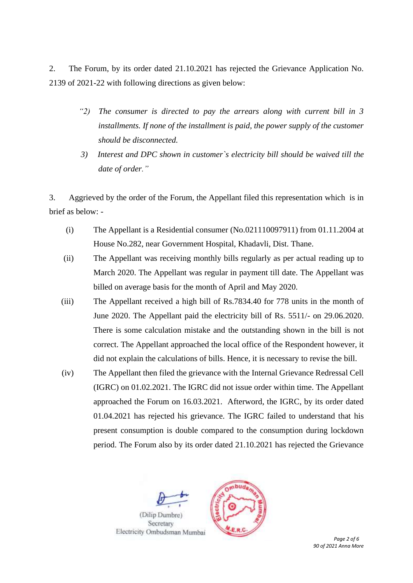2. The Forum, by its order dated 21.10.2021 has rejected the Grievance Application No. 2139 of 2021-22 with following directions as given below:

- *"2) The consumer is directed to pay the arrears along with current bill in 3 installments. If none of the installment is paid, the power supply of the customer should be disconnected.*
- *3) Interest and DPC shown in customer`s electricity bill should be waived till the date of order."*

3. Aggrieved by the order of the Forum, the Appellant filed this representation which is in brief as below: -

- (i) The Appellant is a Residential consumer (No.021110097911) from 01.11.2004 at House No.282, near Government Hospital, Khadavli, Dist. Thane.
- (ii) The Appellant was receiving monthly bills regularly as per actual reading up to March 2020. The Appellant was regular in payment till date. The Appellant was billed on average basis for the month of April and May 2020.
- (iii) The Appellant received a high bill of Rs.7834.40 for 778 units in the month of June 2020. The Appellant paid the electricity bill of Rs. 5511/- on 29.06.2020. There is some calculation mistake and the outstanding shown in the bill is not correct. The Appellant approached the local office of the Respondent however, it did not explain the calculations of bills. Hence, it is necessary to revise the bill.
- (iv) The Appellant then filed the grievance with the Internal Grievance Redressal Cell (IGRC) on 01.02.2021. The IGRC did not issue order within time. The Appellant approached the Forum on 16.03.2021. Afterword, the IGRC, by its order dated 01.04.2021 has rejected his grievance. The IGRC failed to understand that his present consumption is double compared to the consumption during lockdown period. The Forum also by its order dated 21.10.2021 has rejected the Grievance





 *Page 2 of 6 90 of 2021 Anna More*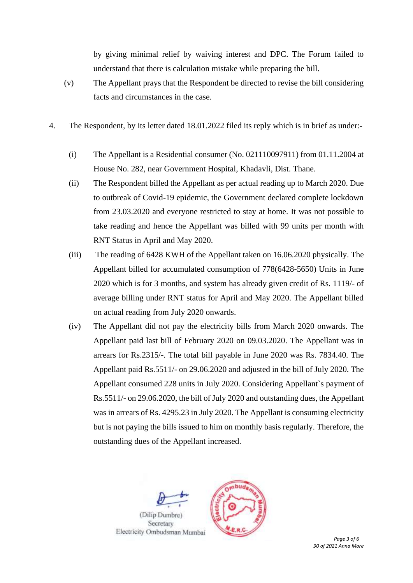by giving minimal relief by waiving interest and DPC. The Forum failed to understand that there is calculation mistake while preparing the bill.

- (v) The Appellant prays that the Respondent be directed to revise the bill considering facts and circumstances in the case.
- 4. The Respondent, by its letter dated 18.01.2022 filed its reply which is in brief as under:-
	- (i) The Appellant is a Residential consumer (No. 021110097911) from 01.11.2004 at House No. 282, near Government Hospital, Khadavli, Dist. Thane.
	- (ii) The Respondent billed the Appellant as per actual reading up to March 2020. Due to outbreak of Covid-19 epidemic, the Government declared complete lockdown from 23.03.2020 and everyone restricted to stay at home. It was not possible to take reading and hence the Appellant was billed with 99 units per month with RNT Status in April and May 2020.
	- (iii) The reading of 6428 KWH of the Appellant taken on 16.06.2020 physically. The Appellant billed for accumulated consumption of 778(6428-5650) Units in June 2020 which is for 3 months, and system has already given credit of Rs. 1119/- of average billing under RNT status for April and May 2020. The Appellant billed on actual reading from July 2020 onwards.
	- (iv) The Appellant did not pay the electricity bills from March 2020 onwards. The Appellant paid last bill of February 2020 on 09.03.2020. The Appellant was in arrears for Rs.2315/-. The total bill payable in June 2020 was Rs. 7834.40. The Appellant paid Rs.5511/- on 29.06.2020 and adjusted in the bill of July 2020. The Appellant consumed 228 units in July 2020. Considering Appellant`s payment of Rs.5511/- on 29.06.2020, the bill of July 2020 and outstanding dues, the Appellant was in arrears of Rs. 4295.23 in July 2020. The Appellant is consuming electricity but is not paying the bills issued to him on monthly basis regularly. Therefore, the outstanding dues of the Appellant increased.

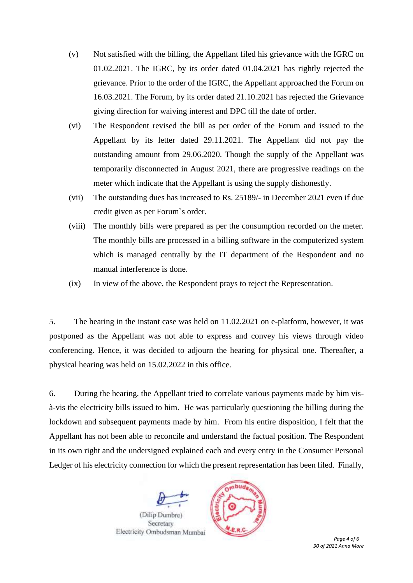- (v) Not satisfied with the billing, the Appellant filed his grievance with the IGRC on 01.02.2021. The IGRC, by its order dated 01.04.2021 has rightly rejected the grievance. Prior to the order of the IGRC, the Appellant approached the Forum on 16.03.2021. The Forum, by its order dated 21.10.2021 has rejected the Grievance giving direction for waiving interest and DPC till the date of order.
- (vi) The Respondent revised the bill as per order of the Forum and issued to the Appellant by its letter dated 29.11.2021. The Appellant did not pay the outstanding amount from 29.06.2020. Though the supply of the Appellant was temporarily disconnected in August 2021, there are progressive readings on the meter which indicate that the Appellant is using the supply dishonestly.
- (vii) The outstanding dues has increased to Rs. 25189/- in December 2021 even if due credit given as per Forum`s order.
- (viii) The monthly bills were prepared as per the consumption recorded on the meter. The monthly bills are processed in a billing software in the computerized system which is managed centrally by the IT department of the Respondent and no manual interference is done.
- (ix) In view of the above, the Respondent prays to reject the Representation.

5. The hearing in the instant case was held on 11.02.2021 on e-platform, however, it was postponed as the Appellant was not able to express and convey his views through video conferencing. Hence, it was decided to adjourn the hearing for physical one. Thereafter, a physical hearing was held on 15.02.2022 in this office.

6. During the hearing, the Appellant tried to correlate various payments made by him visà-vis the electricity bills issued to him. He was particularly questioning the billing during the lockdown and subsequent payments made by him. From his entire disposition, I felt that the Appellant has not been able to reconcile and understand the factual position. The Respondent in its own right and the undersigned explained each and every entry in the Consumer Personal Ledger of his electricity connection for which the present representation has been filed. Finally,



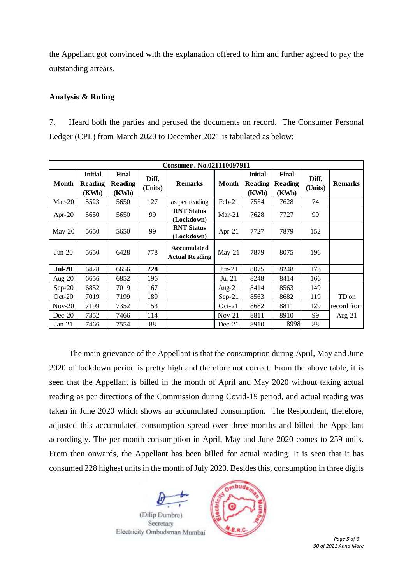the Appellant got convinced with the explanation offered to him and further agreed to pay the outstanding arrears.

## **Analysis & Ruling**

7. Heard both the parties and perused the documents on record. The Consumer Personal Ledger (CPL) from March 2020 to December 2021 is tabulated as below:

| Consumer. No.021110097911 |                                           |                                  |                  |                                             |           |                                           |                           |                  |                |  |  |  |  |
|---------------------------|-------------------------------------------|----------------------------------|------------------|---------------------------------------------|-----------|-------------------------------------------|---------------------------|------------------|----------------|--|--|--|--|
| Month                     | <b>Initial</b><br><b>Reading</b><br>(KWh) | Final<br><b>Reading</b><br>(KWh) | Diff.<br>(Units) | <b>Remarks</b>                              | Month     | <b>Initial</b><br><b>Reading</b><br>(KWh) | Final<br>Reading<br>(KWh) | Diff.<br>(Units) | <b>Remarks</b> |  |  |  |  |
| $Mar-20$                  | 5523                                      | 5650                             | 127              | as per reading                              | Feb-21    | 7554                                      | 7628                      | 74               |                |  |  |  |  |
| Apr- $20$                 | 5650                                      | 5650                             | 99               | <b>RNT Status</b><br>(Lockdown)             | $Mar-21$  | 7628                                      | 7727                      | 99               |                |  |  |  |  |
| $May-20$                  | 5650                                      | 5650                             | 99               | <b>RNT Status</b><br>(Lockdown)             | Apr-21    | 7727                                      | 7879                      | 152              |                |  |  |  |  |
| $Jun-20$                  | 5650                                      | 6428                             | 778              | <b>Accumulated</b><br><b>Actual Reading</b> | $May-21$  | 7879                                      | 8075                      | 196              |                |  |  |  |  |
| $Jul-20$                  | 6428                                      | 6656                             | 228              |                                             | $Jun-21$  | 8075                                      | 8248                      | 173              |                |  |  |  |  |
| Aug- $20$                 | 6656                                      | 6852                             | 196              |                                             | $Jul-21$  | 8248                                      | 8414                      | 166              |                |  |  |  |  |
| $Sep-20$                  | 6852                                      | 7019                             | 167              |                                             | Aug- $21$ | 8414                                      | 8563                      | 149              |                |  |  |  |  |
| $Oct-20$                  | 7019                                      | 7199                             | 180              |                                             | $Sep-21$  | 8563                                      | 8682                      | 119              | TD on          |  |  |  |  |
| $Nov-20$                  | 7199                                      | 7352                             | 153              |                                             | $Oct-21$  | 8682                                      | 8811                      | 129              | record from    |  |  |  |  |
| $Dec-20$                  | 7352                                      | 7466                             | 114              |                                             | $Nov-21$  | 8811                                      | 8910                      | 99               | Aug- $21$      |  |  |  |  |
| $Jan-21$                  | 7466                                      | 7554                             | 88               |                                             | $Dec-21$  | 8910                                      | 8998                      | 88               |                |  |  |  |  |

The main grievance of the Appellant is that the consumption during April, May and June 2020 of lockdown period is pretty high and therefore not correct. From the above table, it is seen that the Appellant is billed in the month of April and May 2020 without taking actual reading as per directions of the Commission during Covid-19 period, and actual reading was taken in June 2020 which shows an accumulated consumption. The Respondent, therefore, adjusted this accumulated consumption spread over three months and billed the Appellant accordingly. The per month consumption in April, May and June 2020 comes to 259 units. From then onwards, the Appellant has been billed for actual reading. It is seen that it has consumed 228 highest units in the month of July 2020. Besides this, consumption in three digits





 *Page 5 of 6 90 of 2021 Anna More*